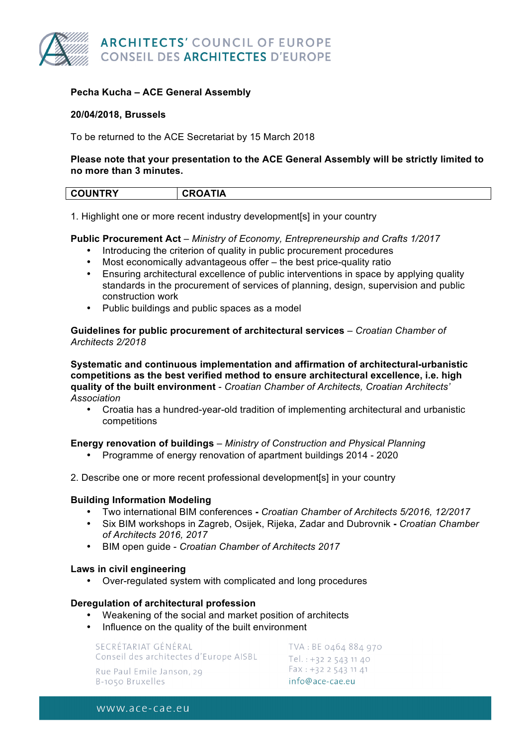

## **Pecha Kucha – ACE General Assembly**

## **20/04/2018, Brussels**

To be returned to the ACE Secretariat by 15 March 2018

## **Please note that your presentation to the ACE General Assembly will be strictly limited to no more than 3 minutes.**

| <b>COUNTRY</b> | <b>CROATIA</b> |
|----------------|----------------|
| ____           |                |

1. Highlight one or more recent industry development[s] in your country

## **Public Procurement Act** – *Ministry of Economy, Entrepreneurship and Crafts 1/2017*

- Introducing the criterion of quality in public procurement procedures
- Most economically advantageous offer the best price-quality ratio
- Ensuring architectural excellence of public interventions in space by applying quality standards in the procurement of services of planning, design, supervision and public construction work
- Public buildings and public spaces as a model

**Guidelines for public procurement of architectural services** – *Croatian Chamber of Architects 2/2018*

**Systematic and continuous implementation and affirmation of architectural-urbanistic competitions as the best verified method to ensure architectural excellence, i.e. high quality of the built environment** - *Croatian Chamber of Architects, Croatian Architects' Association*

• Croatia has a hundred-year-old tradition of implementing architectural and urbanistic competitions

## **Energy renovation of buildings** – *Ministry of Construction and Physical Planning*

- Programme of energy renovation of apartment buildings 2014 2020
- 2. Describe one or more recent professional development[s] in your country

## **Building Information Modeling**

- Two international BIM conferences **-** *Croatian Chamber of Architects 5/2016, 12/2017*
- Six BIM workshops in Zagreb, Osijek, Rijeka, Zadar and Dubrovnik **-** *Croatian Chamber of Architects 2016, 2017*
- BIM open guide *Croatian Chamber of Architects 2017*

#### **Laws in civil engineering**

• Over-regulated system with complicated and long procedures

## **Deregulation of architectural profession**

- Weakening of the social and market position of architects
- Influence on the quality of the built environment

SECRÉTARIAT GÉNÉRAL Conseil des architectes d'Europe AISBL Rue Paul Emile Janson, 29 B-1050 Bruxelles

TVA: BE 0464 884 970 Tel.:  $+32$  2 543 11 40 Fax: +32 2 543 11 41 info@ace-cae.eu

www.ace-cae.eu